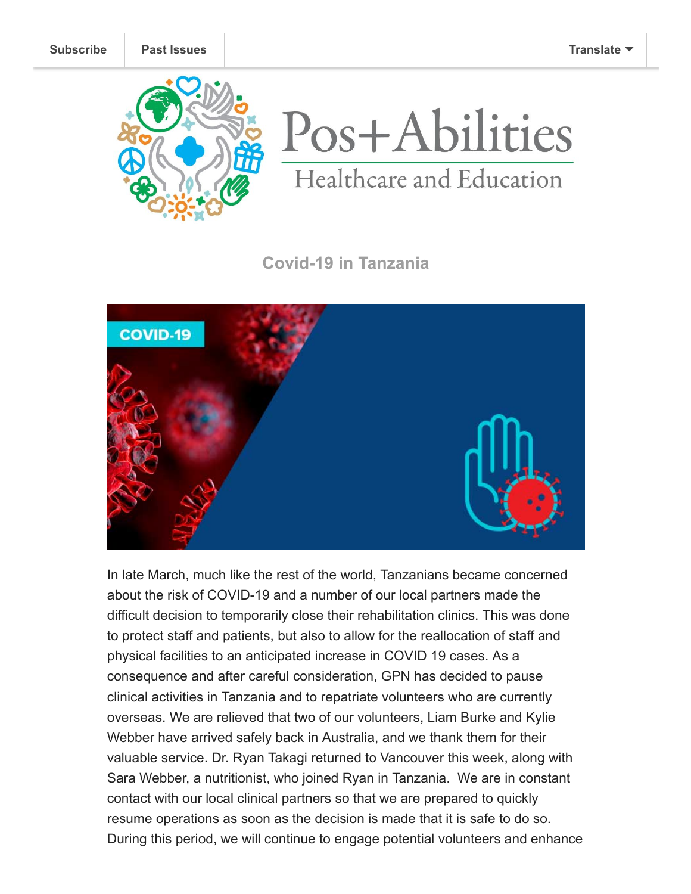



## **Covid-19 in Tanzania**



In late March, much like the rest of the world, Tanzanians became concerned about the risk of COVID-19 and a number of our local partners made the difficult decision to temporarily close their rehabilitation clinics. This was done to protect staff and patients, but also to allow for the reallocation of staff and physical facilities to an anticipated increase in COVID 19 cases. As a consequence and after careful consideration, GPN has decided to pause clinical activities in Tanzania and to repatriate volunteers who are currently overseas. We are relieved that two of our volunteers, Liam Burke and Kylie Webber have arrived safely back in Australia, and we thank them for their valuable service. Dr. Ryan Takagi returned to Vancouver this week, along with Sara Webber, a nutritionist, who joined Ryan in Tanzania. We are in constant contact with our local clinical partners so that we are prepared to quickly resume operations as soon as the decision is made that it is safe to do so. During this period, we will continue to engage potential volunteers and enhance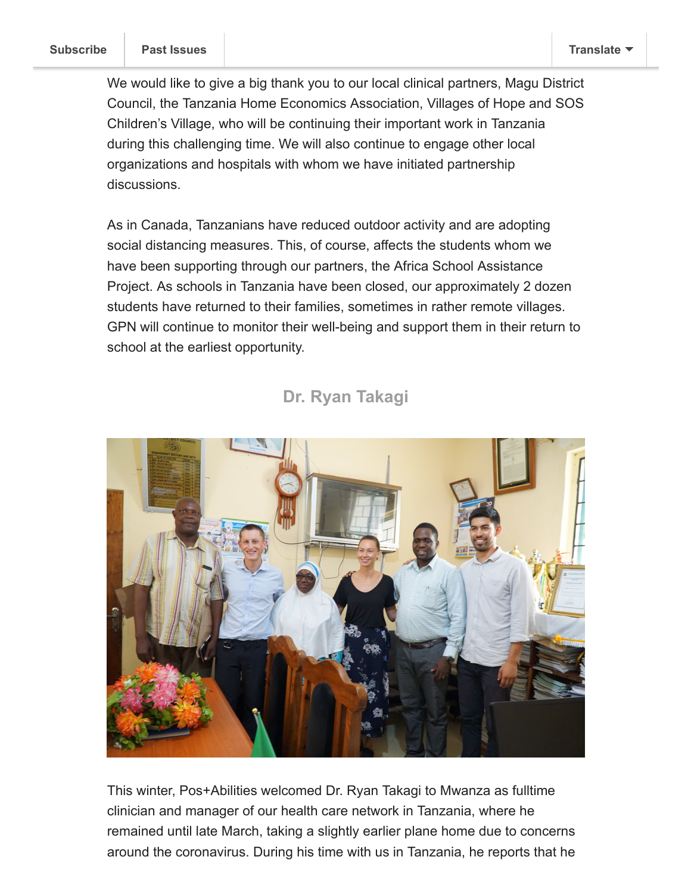We would like to give a big thank you to our local clinical partners, Magu District Council, the Tanzania Home Economics Association, Villages of Hope and SOS Children's Village, who will be continuing their important work in Tanzania during this challenging time. We will also continue to engage other local organizations and hospitals with whom we have initiated partnership discussions.

As in Canada, Tanzanians have reduced outdoor activity and are adopting social distancing measures. This, of course, affects the students whom we have been supporting through our partners, the Africa School Assistance Project. As schools in Tanzania have been closed, our approximately 2 dozen students have returned to their families, sometimes in rather remote villages. GPN will continue to monitor their well-being and support them in their return to school at the earliest opportunity.

## **Dr. Ryan Takagi**



This winter, Pos+Abilities welcomed Dr. Ryan Takagi to Mwanza as fulltime clinician and manager of our health care network in Tanzania, where he remained until late March, taking a slightly earlier plane home due to concerns around the coronavirus. During his time with us in Tanzania, he reports that he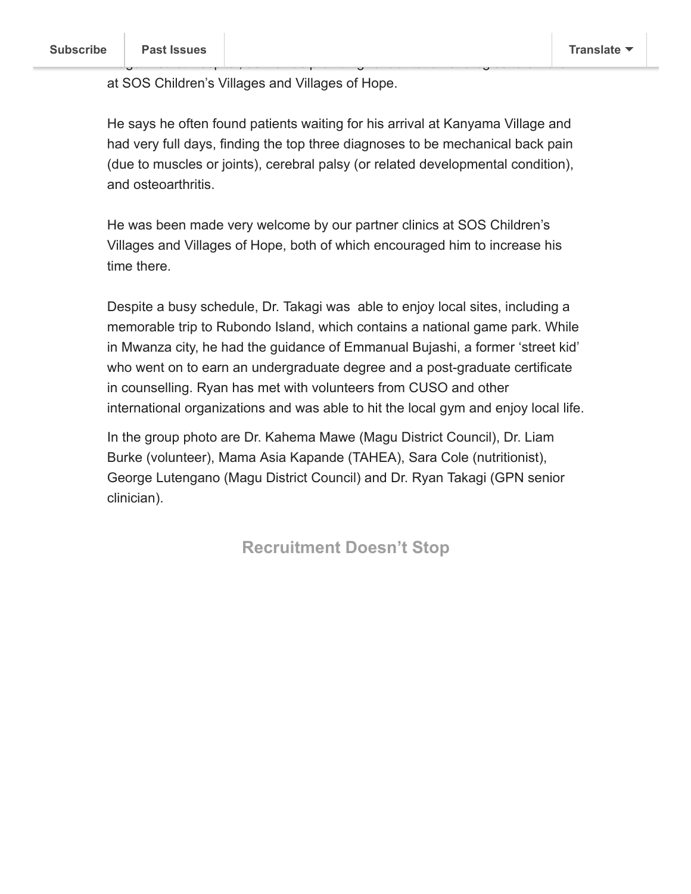at SOS Children's Villages and Villages of Hope.

He says he often found patients waiting for his arrival at Kanyama Village and had very full days, finding the top three diagnoses to be mechanical back pain (due to muscles or joints), cerebral palsy (or related developmental condition), and osteoarthritis.

Magu District Hospital, as well as providing rehabilitation strategies to children

He was been made very welcome by our partner clinics at SOS Children's Villages and Villages of Hope, both of which encouraged him to increase his time there.

Despite a busy schedule, Dr. Takagi was able to enjoy local sites, including a memorable trip to Rubondo Island, which contains a national game park. While in Mwanza city, he had the guidance of Emmanual Bujashi, a former 'street kid' who went on to earn an undergraduate degree and a post-graduate certificate in counselling. Ryan has met with volunteers from CUSO and other international organizations and was able to hit the local gym and enjoy local life.

In the group photo are Dr. Kahema Mawe (Magu District Council), Dr. Liam Burke (volunteer), Mama Asia Kapande (TAHEA), Sara Cole (nutritionist), George Lutengano (Magu District Council) and Dr. Ryan Takagi (GPN senior clinician).

**Recruitment Doesn't Stop**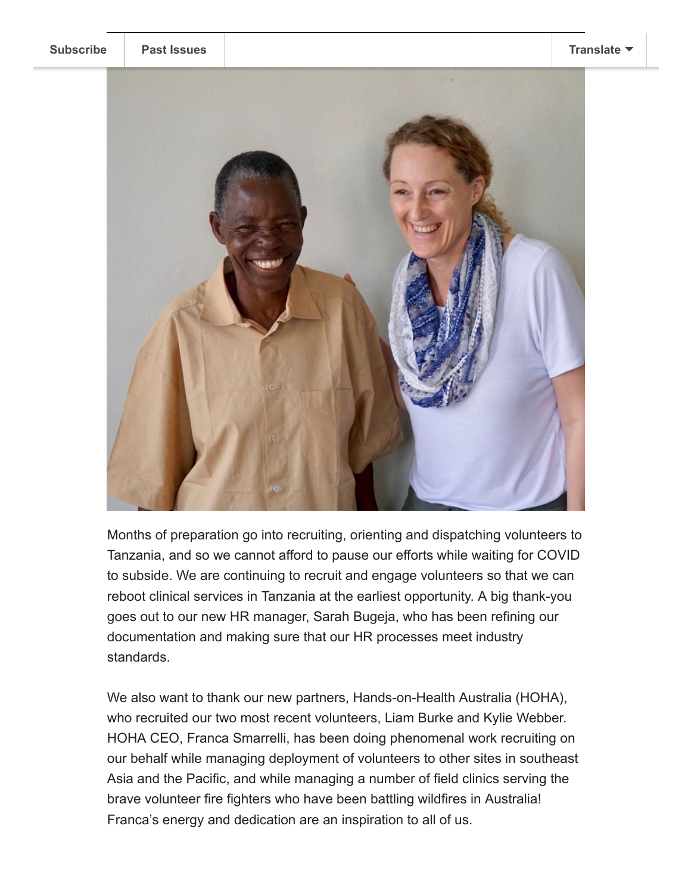

Months of preparation go into recruiting, orienting and dispatching volunteers to Tanzania, and so we cannot afford to pause our efforts while waiting for COVID to subside. We are continuing to recruit and engage volunteers so that we can reboot clinical services in Tanzania at the earliest opportunity. A big thank-you goes out to our new HR manager, Sarah Bugeja, who has been refining our documentation and making sure that our HR processes meet industry standards.

We also want to thank our new partners, Hands-on-Health Australia (HOHA), who recruited our two most recent volunteers, Liam Burke and Kylie Webber. HOHA CEO, Franca Smarrelli, has been doing phenomenal work recruiting on our behalf while managing deployment of volunteers to other sites in southeast Asia and the Pacific, and while managing a number of field clinics serving the brave volunteer fire fighters who have been battling wildfires in Australia! Franca's energy and dedication are an inspiration to all of us.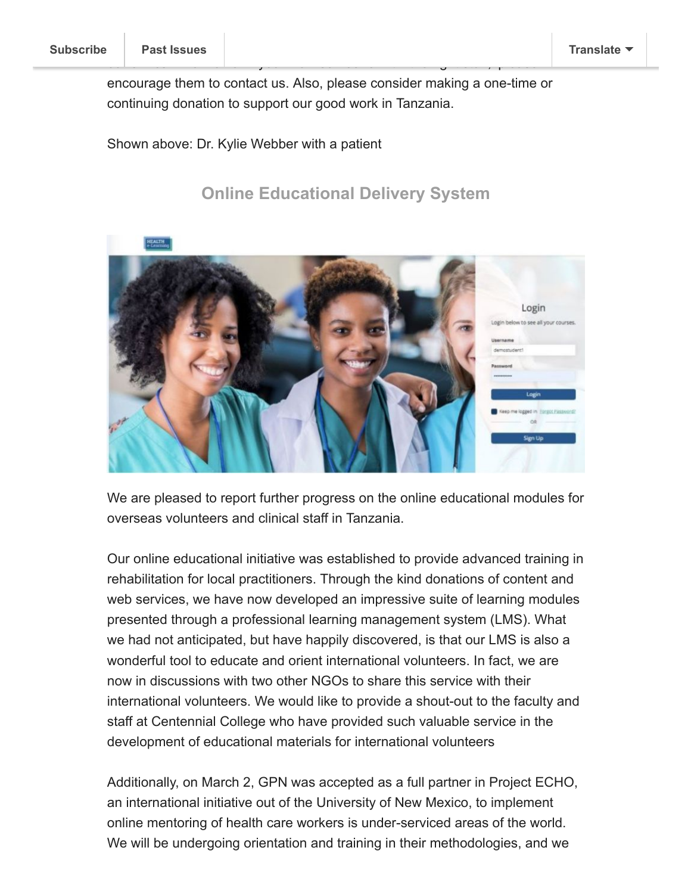encourage them to contact us. Also, please consider making a one-time or continuing donation to support our good work in Tanzania.

Shown above: Dr. Kylie Webber with a patient

## **Online Educational Delivery System**



We are pleased to report further progress on the online educational modules for overseas volunteers and clinical staff in Tanzania.

Our online educational initiative was established to provide advanced training in rehabilitation for local practitioners. Through the kind donations of content and web services, we have now developed an impressive suite of learning modules presented through a professional learning management system (LMS). What we had not anticipated, but have happily discovered, is that our LMS is also a wonderful tool to educate and orient international volunteers. In fact, we are now in discussions with two other NGOs to share this service with their international volunteers. We would like to provide a shout-out to the faculty and staff at Centennial College who have provided such valuable service in the development of educational materials for international volunteers

Additionally, on March 2, GPN was accepted as a full partner in Project ECHO, an international initiative out of the University of New Mexico, to implement online mentoring of health care workers is under-serviced areas of the world. We will be undergoing orientation and training in their methodologies, and we